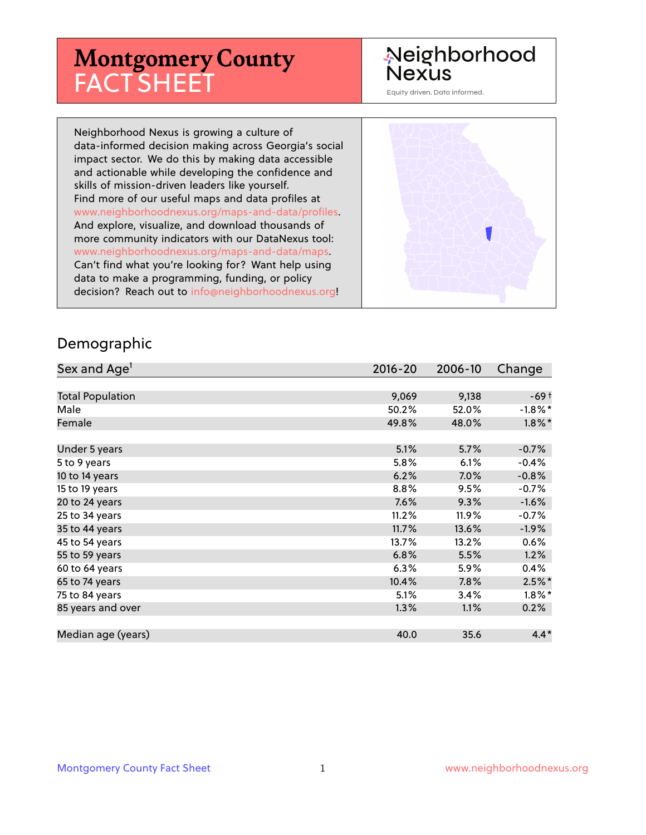# **Montgomery County** FACT SHEET

# Neighborhood **Nexus**

Equity driven. Data informed.

Neighborhood Nexus is growing a culture of data-informed decision making across Georgia's social impact sector. We do this by making data accessible and actionable while developing the confidence and skills of mission-driven leaders like yourself. Find more of our useful maps and data profiles at www.neighborhoodnexus.org/maps-and-data/profiles. And explore, visualize, and download thousands of more community indicators with our DataNexus tool: www.neighborhoodnexus.org/maps-and-data/maps. Can't find what you're looking for? Want help using data to make a programming, funding, or policy decision? Reach out to [info@neighborhoodnexus.org!](mailto:info@neighborhoodnexus.org)



#### Demographic

| Sex and Age <sup>1</sup> | $2016 - 20$ | 2006-10 | Change     |
|--------------------------|-------------|---------|------------|
|                          |             |         |            |
| <b>Total Population</b>  | 9,069       | 9,138   | $-69+$     |
| Male                     | 50.2%       | 52.0%   | $-1.8\%$ * |
| Female                   | 49.8%       | 48.0%   | $1.8\%$ *  |
|                          |             |         |            |
| Under 5 years            | 5.1%        | 5.7%    | $-0.7%$    |
| 5 to 9 years             | 5.8%        | 6.1%    | $-0.4%$    |
| 10 to 14 years           | 6.2%        | 7.0%    | $-0.8%$    |
| 15 to 19 years           | 8.8%        | 9.5%    | $-0.7%$    |
| 20 to 24 years           | 7.6%        | 9.3%    | $-1.6%$    |
| 25 to 34 years           | 11.2%       | 11.9%   | $-0.7%$    |
| 35 to 44 years           | 11.7%       | 13.6%   | $-1.9\%$   |
| 45 to 54 years           | 13.7%       | 13.2%   | 0.6%       |
| 55 to 59 years           | 6.8%        | 5.5%    | 1.2%       |
| 60 to 64 years           | 6.3%        | 5.9%    | 0.4%       |
| 65 to 74 years           | 10.4%       | $7.8\%$ | $2.5%$ *   |
| 75 to 84 years           | 5.1%        | 3.4%    | $1.8\%$ *  |
| 85 years and over        | 1.3%        | 1.1%    | 0.2%       |
|                          |             |         |            |
| Median age (years)       | 40.0        | 35.6    | $4.4*$     |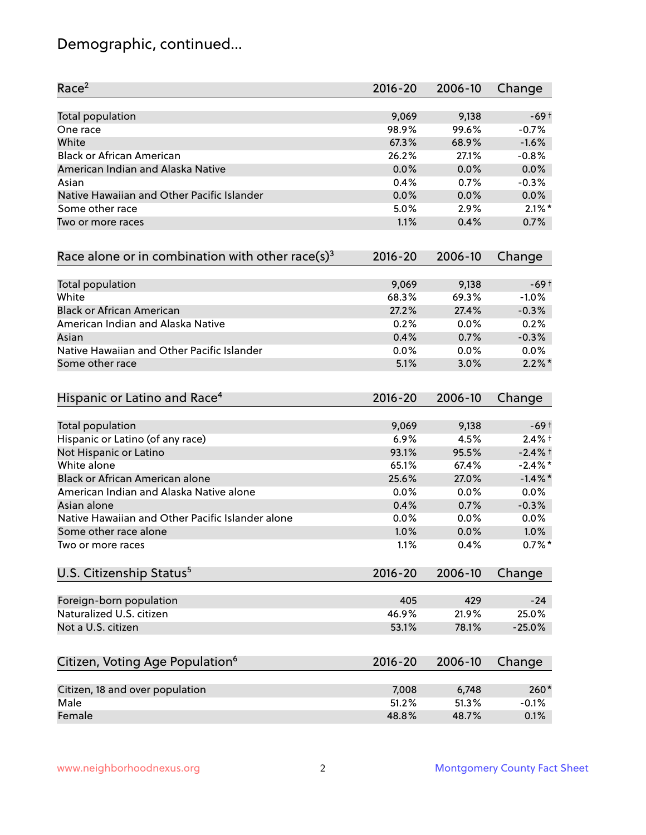# Demographic, continued...

| Race <sup>2</sup>                                            | $2016 - 20$ | 2006-10 | Change     |
|--------------------------------------------------------------|-------------|---------|------------|
| Total population                                             | 9,069       | 9,138   | $-69+$     |
| One race                                                     | 98.9%       | 99.6%   | $-0.7%$    |
| White                                                        | 67.3%       | 68.9%   | $-1.6%$    |
| <b>Black or African American</b>                             | 26.2%       | 27.1%   | $-0.8%$    |
| American Indian and Alaska Native                            | 0.0%        | 0.0%    | 0.0%       |
| Asian                                                        | 0.4%        | 0.7%    | $-0.3%$    |
| Native Hawaiian and Other Pacific Islander                   | 0.0%        | 0.0%    | 0.0%       |
| Some other race                                              | 5.0%        | 2.9%    | $2.1\%$ *  |
| Two or more races                                            | 1.1%        | 0.4%    | 0.7%       |
| Race alone or in combination with other race(s) <sup>3</sup> | $2016 - 20$ | 2006-10 | Change     |
| Total population                                             | 9,069       | 9,138   | $-69+$     |
| White                                                        | 68.3%       | 69.3%   | $-1.0%$    |
| <b>Black or African American</b>                             | 27.2%       | 27.4%   | $-0.3%$    |
| American Indian and Alaska Native                            | 0.2%        | 0.0%    | 0.2%       |
| Asian                                                        | 0.4%        | 0.7%    | $-0.3%$    |
| Native Hawaiian and Other Pacific Islander                   | 0.0%        | 0.0%    | 0.0%       |
| Some other race                                              | 5.1%        | 3.0%    | $2.2\%$ *  |
| Hispanic or Latino and Race <sup>4</sup>                     | $2016 - 20$ | 2006-10 | Change     |
| <b>Total population</b>                                      | 9,069       | 9,138   | $-69+$     |
| Hispanic or Latino (of any race)                             | 6.9%        | 4.5%    | $2.4%$ +   |
| Not Hispanic or Latino                                       | 93.1%       | 95.5%   | $-2.4%$ †  |
| White alone                                                  | 65.1%       | 67.4%   | $-2.4\%$ * |
| Black or African American alone                              | 25.6%       | 27.0%   | $-1.4\%$ * |
| American Indian and Alaska Native alone                      | 0.0%        | 0.0%    | 0.0%       |
| Asian alone                                                  | 0.4%        | 0.7%    | $-0.3%$    |
| Native Hawaiian and Other Pacific Islander alone             | 0.0%        | 0.0%    | 0.0%       |
| Some other race alone                                        | 1.0%        | 0.0%    | 1.0%       |
| Two or more races                                            | 1.1%        | 0.4%    | $0.7%$ *   |
| U.S. Citizenship Status <sup>5</sup>                         | $2016 - 20$ | 2006-10 | Change     |
| Foreign-born population                                      | 405         | 429     | $-24$      |
| Naturalized U.S. citizen                                     | 46.9%       | 21.9%   | 25.0%      |
| Not a U.S. citizen                                           | 53.1%       | 78.1%   | $-25.0%$   |
|                                                              |             |         |            |
| Citizen, Voting Age Population <sup>6</sup>                  | $2016 - 20$ | 2006-10 | Change     |
| Citizen, 18 and over population                              | 7,008       | 6,748   | 260*       |
| Male                                                         | 51.2%       | 51.3%   | $-0.1%$    |
| Female                                                       | 48.8%       | 48.7%   | 0.1%       |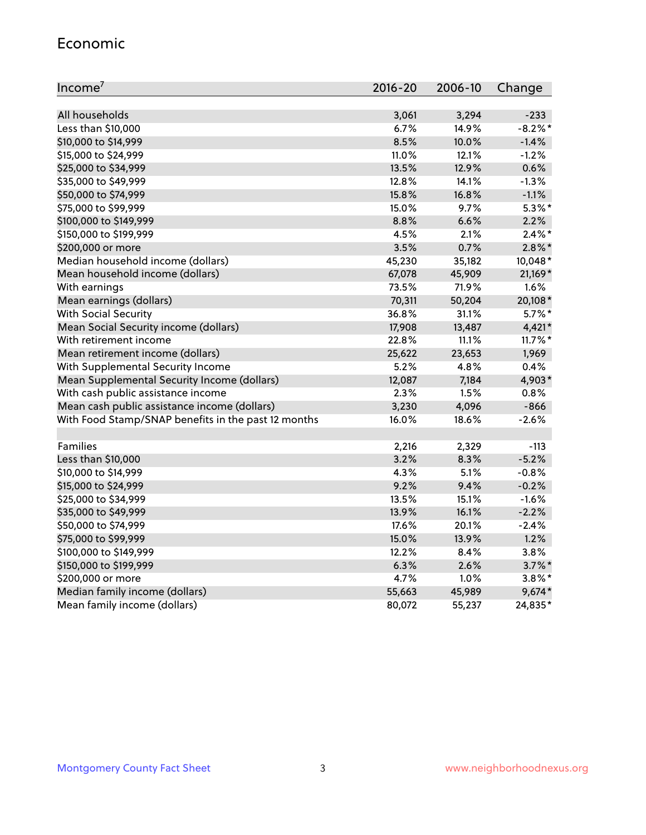#### Economic

| Income <sup>7</sup>                                 | $2016 - 20$ | 2006-10 | Change     |
|-----------------------------------------------------|-------------|---------|------------|
|                                                     |             |         |            |
| All households                                      | 3,061       | 3,294   | $-233$     |
| Less than \$10,000                                  | 6.7%        | 14.9%   | $-8.2\%$ * |
| \$10,000 to \$14,999                                | 8.5%        | 10.0%   | $-1.4%$    |
| \$15,000 to \$24,999                                | 11.0%       | 12.1%   | $-1.2%$    |
| \$25,000 to \$34,999                                | 13.5%       | 12.9%   | 0.6%       |
| \$35,000 to \$49,999                                | 12.8%       | 14.1%   | $-1.3%$    |
| \$50,000 to \$74,999                                | 15.8%       | 16.8%   | $-1.1%$    |
| \$75,000 to \$99,999                                | 15.0%       | 9.7%    | $5.3\%$ *  |
| \$100,000 to \$149,999                              | 8.8%        | 6.6%    | 2.2%       |
| \$150,000 to \$199,999                              | 4.5%        | 2.1%    | $2.4\%$ *  |
| \$200,000 or more                                   | 3.5%        | 0.7%    | $2.8\%$ *  |
| Median household income (dollars)                   | 45,230      | 35,182  | 10,048*    |
| Mean household income (dollars)                     | 67,078      | 45,909  | 21,169*    |
| With earnings                                       | 73.5%       | 71.9%   | 1.6%       |
| Mean earnings (dollars)                             | 70,311      | 50,204  | 20,108*    |
| <b>With Social Security</b>                         | 36.8%       | 31.1%   | $5.7\%$ *  |
| Mean Social Security income (dollars)               | 17,908      | 13,487  | 4,421*     |
| With retirement income                              | 22.8%       | 11.1%   | $11.7\%$ * |
| Mean retirement income (dollars)                    | 25,622      | 23,653  | 1,969      |
| With Supplemental Security Income                   | 5.2%        | 4.8%    | 0.4%       |
| Mean Supplemental Security Income (dollars)         | 12,087      | 7,184   | 4,903*     |
| With cash public assistance income                  | 2.3%        | 1.5%    | 0.8%       |
| Mean cash public assistance income (dollars)        | 3,230       | 4,096   | $-866$     |
| With Food Stamp/SNAP benefits in the past 12 months | 16.0%       | 18.6%   | $-2.6%$    |
|                                                     |             |         |            |
| Families                                            | 2,216       | 2,329   | $-113$     |
| Less than \$10,000                                  | 3.2%        | 8.3%    | $-5.2%$    |
| \$10,000 to \$14,999                                | 4.3%        | 5.1%    | $-0.8%$    |
| \$15,000 to \$24,999                                | 9.2%        | 9.4%    | $-0.2%$    |
| \$25,000 to \$34,999                                | 13.5%       | 15.1%   | $-1.6%$    |
| \$35,000 to \$49,999                                | 13.9%       | 16.1%   | $-2.2%$    |
| \$50,000 to \$74,999                                | 17.6%       | 20.1%   | $-2.4%$    |
| \$75,000 to \$99,999                                | 15.0%       | 13.9%   | 1.2%       |
| \$100,000 to \$149,999                              | 12.2%       | $8.4\%$ | 3.8%       |
| \$150,000 to \$199,999                              | 6.3%        | 2.6%    | $3.7\%$ *  |
| \$200,000 or more                                   | 4.7%        | 1.0%    | $3.8\%$ *  |
| Median family income (dollars)                      | 55,663      | 45,989  | $9,674*$   |
| Mean family income (dollars)                        | 80,072      | 55,237  | 24,835*    |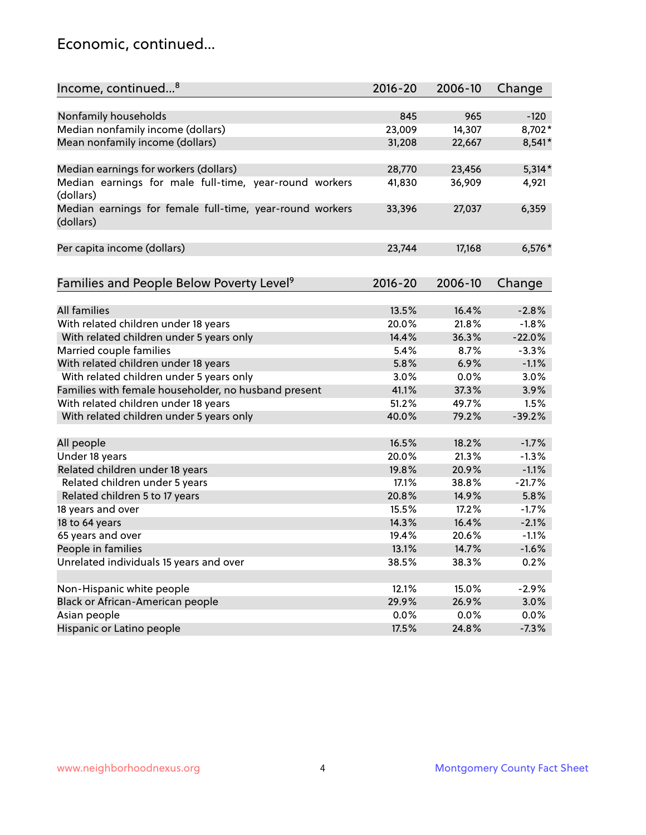### Economic, continued...

| Income, continued <sup>8</sup>                                        | $2016 - 20$    | 2006-10 | Change   |
|-----------------------------------------------------------------------|----------------|---------|----------|
|                                                                       |                |         |          |
| Nonfamily households                                                  | 845            | 965     | $-120$   |
| Median nonfamily income (dollars)                                     | 23,009         | 14,307  | 8,702*   |
| Mean nonfamily income (dollars)                                       | 31,208         | 22,667  | 8,541*   |
| Median earnings for workers (dollars)                                 | 28,770         | 23,456  | $5,314*$ |
| Median earnings for male full-time, year-round workers                | 41,830         | 36,909  | 4,921    |
| (dollars)                                                             |                |         |          |
| Median earnings for female full-time, year-round workers<br>(dollars) | 33,396         | 27,037  | 6,359    |
| Per capita income (dollars)                                           | 23,744         | 17,168  | $6,576*$ |
|                                                                       |                |         |          |
| Families and People Below Poverty Level <sup>9</sup>                  | $2016 - 20$    | 2006-10 | Change   |
| <b>All families</b>                                                   | 13.5%          | 16.4%   | $-2.8%$  |
|                                                                       |                | 21.8%   |          |
| With related children under 18 years                                  | 20.0%<br>14.4% |         | $-1.8%$  |
| With related children under 5 years only                              |                | 36.3%   | $-22.0%$ |
| Married couple families                                               | 5.4%           | 8.7%    | $-3.3%$  |
| With related children under 18 years                                  | 5.8%           | 6.9%    | $-1.1%$  |
| With related children under 5 years only                              | 3.0%           | 0.0%    | 3.0%     |
| Families with female householder, no husband present                  | 41.1%          | 37.3%   | 3.9%     |
| With related children under 18 years                                  | 51.2%          | 49.7%   | 1.5%     |
| With related children under 5 years only                              | 40.0%          | 79.2%   | $-39.2%$ |
| All people                                                            | 16.5%          | 18.2%   | $-1.7%$  |
| Under 18 years                                                        | 20.0%          | 21.3%   | $-1.3%$  |
| Related children under 18 years                                       | 19.8%          | 20.9%   | $-1.1%$  |
| Related children under 5 years                                        | 17.1%          | 38.8%   | $-21.7%$ |
| Related children 5 to 17 years                                        | 20.8%          | 14.9%   | 5.8%     |
| 18 years and over                                                     | 15.5%          | 17.2%   | $-1.7%$  |
| 18 to 64 years                                                        | 14.3%          | 16.4%   | $-2.1%$  |
| 65 years and over                                                     | 19.4%          | 20.6%   | $-1.1%$  |
| People in families                                                    | 13.1%          | 14.7%   | $-1.6%$  |
| Unrelated individuals 15 years and over                               | 38.5%          | 38.3%   | 0.2%     |
|                                                                       |                |         |          |
| Non-Hispanic white people                                             | 12.1%          | 15.0%   | $-2.9%$  |
| Black or African-American people                                      | 29.9%          | 26.9%   | 3.0%     |
| Asian people                                                          | $0.0\%$        | 0.0%    | 0.0%     |
| Hispanic or Latino people                                             | 17.5%          | 24.8%   | $-7.3%$  |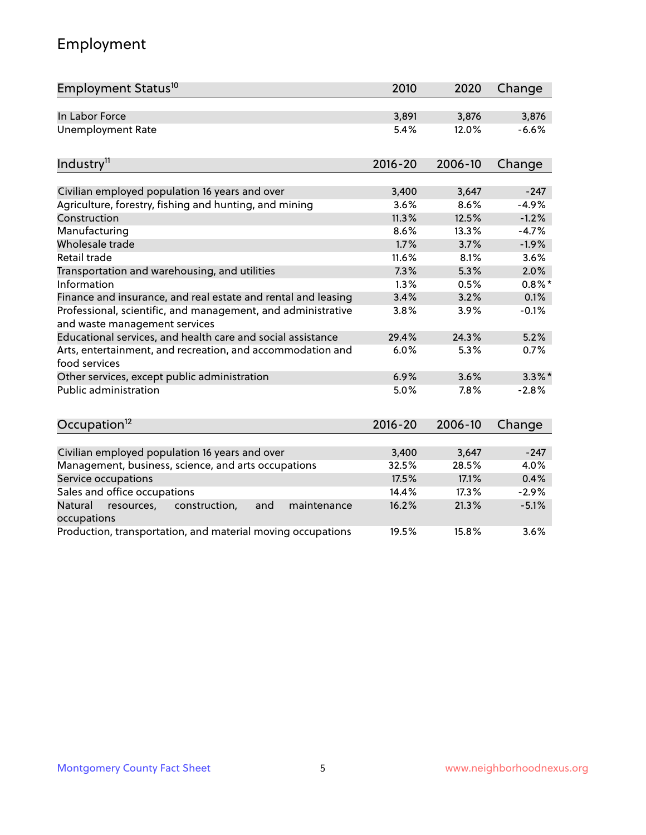# Employment

| Employment Status <sup>10</sup>                                                               | 2010        | 2020    | Change    |
|-----------------------------------------------------------------------------------------------|-------------|---------|-----------|
| In Labor Force                                                                                | 3,891       | 3,876   | 3,876     |
| <b>Unemployment Rate</b>                                                                      | 5.4%        | 12.0%   | $-6.6%$   |
| Industry <sup>11</sup>                                                                        | $2016 - 20$ | 2006-10 | Change    |
|                                                                                               |             |         |           |
| Civilian employed population 16 years and over                                                | 3,400       | 3,647   | $-247$    |
| Agriculture, forestry, fishing and hunting, and mining                                        | 3.6%        | 8.6%    | $-4.9%$   |
| Construction                                                                                  | 11.3%       | 12.5%   | $-1.2%$   |
| Manufacturing                                                                                 | 8.6%        | 13.3%   | $-4.7%$   |
| Wholesale trade                                                                               | 1.7%        | 3.7%    | $-1.9%$   |
| Retail trade                                                                                  | 11.6%       | 8.1%    | 3.6%      |
| Transportation and warehousing, and utilities                                                 | 7.3%        | 5.3%    | 2.0%      |
| Information                                                                                   | 1.3%        | 0.5%    | $0.8\%$ * |
| Finance and insurance, and real estate and rental and leasing                                 | 3.4%        | 3.2%    | 0.1%      |
| Professional, scientific, and management, and administrative<br>and waste management services | 3.8%        | 3.9%    | $-0.1%$   |
| Educational services, and health care and social assistance                                   | 29.4%       | 24.3%   | 5.2%      |
| Arts, entertainment, and recreation, and accommodation and<br>food services                   | 6.0%        | 5.3%    | 0.7%      |
| Other services, except public administration                                                  | 6.9%        | 3.6%    | $3.3\%$ * |
| <b>Public administration</b>                                                                  | 5.0%        | 7.8%    | $-2.8%$   |
| Occupation <sup>12</sup>                                                                      | $2016 - 20$ | 2006-10 | Change    |
|                                                                                               |             |         |           |
| Civilian employed population 16 years and over                                                | 3,400       | 3,647   | $-247$    |
| Management, business, science, and arts occupations                                           | 32.5%       | 28.5%   | 4.0%      |
| Service occupations                                                                           | 17.5%       | 17.1%   | 0.4%      |
| Sales and office occupations                                                                  | 14.4%       | 17.3%   | $-2.9%$   |
| Natural<br>construction,<br>and<br>maintenance<br>resources,<br>occupations                   | 16.2%       | 21.3%   | $-5.1%$   |
| Production, transportation, and material moving occupations                                   | 19.5%       | 15.8%   | 3.6%      |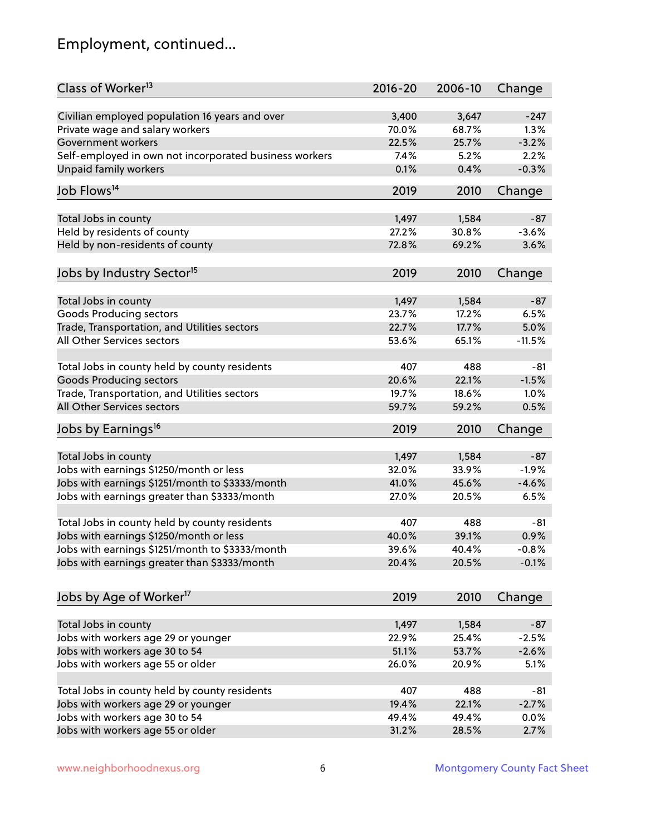# Employment, continued...

| Class of Worker <sup>13</sup>                          | $2016 - 20$    | 2006-10 | Change   |
|--------------------------------------------------------|----------------|---------|----------|
| Civilian employed population 16 years and over         | 3,400          | 3,647   | $-247$   |
| Private wage and salary workers                        | 70.0%          | 68.7%   | 1.3%     |
| Government workers                                     | 22.5%          | 25.7%   | $-3.2%$  |
| Self-employed in own not incorporated business workers | 7.4%           | 5.2%    | 2.2%     |
| <b>Unpaid family workers</b>                           | 0.1%           | 0.4%    | $-0.3%$  |
|                                                        |                |         |          |
| Job Flows <sup>14</sup>                                | 2019           | 2010    | Change   |
| Total Jobs in county                                   | 1,497          | 1,584   | $-87$    |
| Held by residents of county                            | 27.2%          | 30.8%   | $-3.6%$  |
| Held by non-residents of county                        | 72.8%          | 69.2%   | 3.6%     |
|                                                        |                |         |          |
| Jobs by Industry Sector <sup>15</sup>                  | 2019           | 2010    | Change   |
| Total Jobs in county                                   | 1,497          | 1,584   | $-87$    |
| Goods Producing sectors                                | 23.7%          | 17.2%   | 6.5%     |
| Trade, Transportation, and Utilities sectors           | 22.7%          | 17.7%   | 5.0%     |
| All Other Services sectors                             | 53.6%          | 65.1%   | $-11.5%$ |
|                                                        |                |         |          |
| Total Jobs in county held by county residents          | 407            | 488     | $-81$    |
| <b>Goods Producing sectors</b>                         | 20.6%          | 22.1%   | $-1.5%$  |
| Trade, Transportation, and Utilities sectors           | 19.7%          | 18.6%   | 1.0%     |
| All Other Services sectors                             | 59.7%          | 59.2%   | 0.5%     |
| Jobs by Earnings <sup>16</sup>                         | 2019           | 2010    | Change   |
|                                                        |                |         |          |
| Total Jobs in county                                   | 1,497<br>32.0% | 1,584   | $-87$    |
| Jobs with earnings \$1250/month or less                |                | 33.9%   | $-1.9%$  |
| Jobs with earnings \$1251/month to \$3333/month        | 41.0%<br>27.0% | 45.6%   | $-4.6%$  |
| Jobs with earnings greater than \$3333/month           |                | 20.5%   | 6.5%     |
| Total Jobs in county held by county residents          | 407            | 488     | -81      |
| Jobs with earnings \$1250/month or less                | 40.0%          | 39.1%   | 0.9%     |
| Jobs with earnings \$1251/month to \$3333/month        | 39.6%          | 40.4%   | $-0.8%$  |
| Jobs with earnings greater than \$3333/month           | 20.4%          | 20.5%   | $-0.1%$  |
|                                                        |                |         |          |
| Jobs by Age of Worker <sup>17</sup>                    | 2019           | 2010    | Change   |
| Total Jobs in county                                   | 1,497          | 1,584   | $-87$    |
| Jobs with workers age 29 or younger                    | 22.9%          | 25.4%   | $-2.5%$  |
| Jobs with workers age 30 to 54                         | 51.1%          | 53.7%   | $-2.6%$  |
| Jobs with workers age 55 or older                      | 26.0%          | 20.9%   | 5.1%     |
|                                                        |                |         |          |
| Total Jobs in county held by county residents          | 407            | 488     | $-81$    |
| Jobs with workers age 29 or younger                    | 19.4%          | 22.1%   | $-2.7%$  |
| Jobs with workers age 30 to 54                         | 49.4%          | 49.4%   | 0.0%     |
| Jobs with workers age 55 or older                      | 31.2%          | 28.5%   | 2.7%     |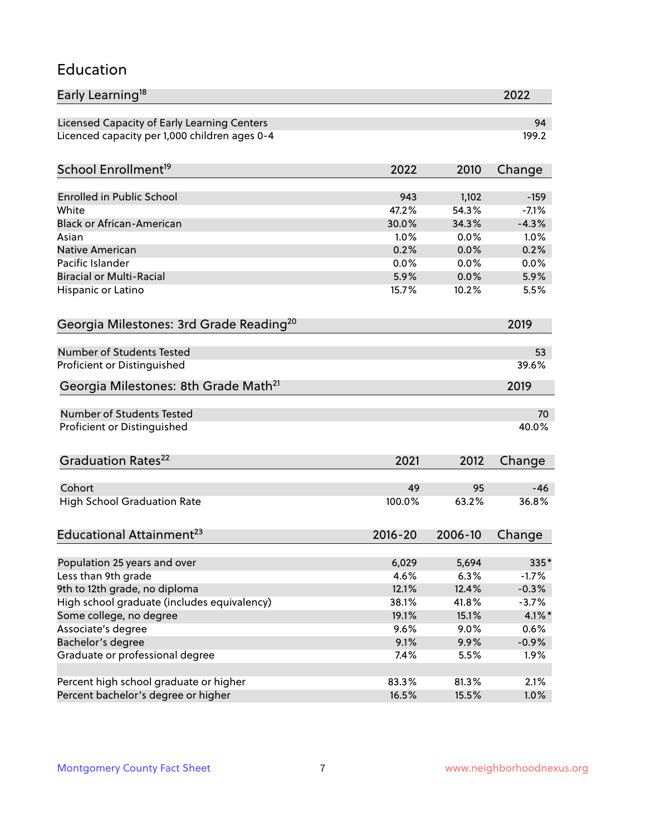#### Education

| Early Learning <sup>18</sup>                        |               |              | 2022         |
|-----------------------------------------------------|---------------|--------------|--------------|
| Licensed Capacity of Early Learning Centers         |               |              | 94           |
| Licenced capacity per 1,000 children ages 0-4       |               |              | 199.2        |
| School Enrollment <sup>19</sup>                     | 2022          | 2010         | Change       |
|                                                     |               |              |              |
| <b>Enrolled in Public School</b>                    | 943           | 1,102        | $-159$       |
| White                                               | 47.2%         | 54.3%        | $-7.1%$      |
| <b>Black or African-American</b>                    | 30.0%<br>1.0% | 34.3%        | $-4.3%$      |
| Asian                                               |               | 0.0%         | 1.0%         |
| <b>Native American</b><br>Pacific Islander          | 0.2%          | 0.0%         | 0.2%         |
| <b>Biracial or Multi-Racial</b>                     | 0.0%<br>5.9%  | 0.0%<br>0.0% | 0.0%<br>5.9% |
|                                                     |               |              |              |
| Hispanic or Latino                                  | 15.7%         | 10.2%        | 5.5%         |
| Georgia Milestones: 3rd Grade Reading <sup>20</sup> |               |              | 2019         |
| <b>Number of Students Tested</b>                    |               |              | 53           |
|                                                     |               |              | 39.6%        |
| Proficient or Distinguished                         |               |              |              |
| Georgia Milestones: 8th Grade Math <sup>21</sup>    |               |              | 2019         |
| <b>Number of Students Tested</b>                    |               |              | 70           |
| Proficient or Distinguished                         |               |              | 40.0%        |
| Graduation Rates <sup>22</sup>                      | 2021          | 2012         | Change       |
|                                                     |               |              |              |
| Cohort                                              | 49            | 95           | $-46$        |
| <b>High School Graduation Rate</b>                  | 100.0%        | 63.2%        | 36.8%        |
| Educational Attainment <sup>23</sup>                | $2016 - 20$   | 2006-10      | Change       |
|                                                     |               |              |              |
| Population 25 years and over                        | 6,029         | 5,694        | 335*         |
| Less than 9th grade                                 | 4.6%          | 6.3%         | $-1.7%$      |
| 9th to 12th grade, no diploma                       | 12.1%         | 12.4%        | $-0.3%$      |
| High school graduate (includes equivalency)         | 38.1%         | 41.8%        | $-3.7%$      |
| Some college, no degree                             | 19.1%         | 15.1%        | $4.1\%$ *    |
| Associate's degree                                  | 9.6%          | 9.0%         | 0.6%         |
| Bachelor's degree                                   | 9.1%          | 9.9%         | $-0.9%$      |
| Graduate or professional degree                     | 7.4%          | 5.5%         | 1.9%         |
| Percent high school graduate or higher              | 83.3%         | 81.3%        | 2.1%         |
| Percent bachelor's degree or higher                 | 16.5%         | 15.5%        | 1.0%         |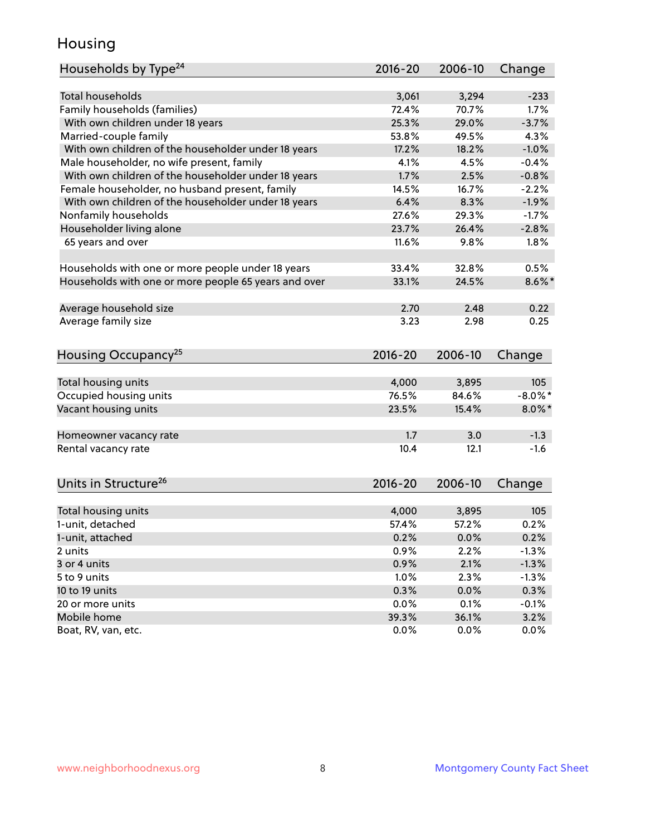### Housing

| Households by Type <sup>24</sup>                     | $2016 - 20$ | 2006-10 | Change     |
|------------------------------------------------------|-------------|---------|------------|
|                                                      |             |         |            |
| <b>Total households</b>                              | 3,061       | 3,294   | $-233$     |
| Family households (families)                         | 72.4%       | 70.7%   | 1.7%       |
| With own children under 18 years                     | 25.3%       | 29.0%   | $-3.7%$    |
| Married-couple family                                | 53.8%       | 49.5%   | 4.3%       |
| With own children of the householder under 18 years  | 17.2%       | 18.2%   | $-1.0%$    |
| Male householder, no wife present, family            | 4.1%        | 4.5%    | $-0.4%$    |
| With own children of the householder under 18 years  | 1.7%        | 2.5%    | $-0.8%$    |
| Female householder, no husband present, family       | 14.5%       | 16.7%   | $-2.2%$    |
| With own children of the householder under 18 years  | 6.4%        | 8.3%    | $-1.9%$    |
| Nonfamily households                                 | 27.6%       | 29.3%   | $-1.7%$    |
| Householder living alone                             | 23.7%       | 26.4%   | $-2.8%$    |
| 65 years and over                                    | 11.6%       | 9.8%    | 1.8%       |
| Households with one or more people under 18 years    | 33.4%       | 32.8%   | 0.5%       |
| Households with one or more people 65 years and over | 33.1%       | 24.5%   | $8.6\%$ *  |
|                                                      |             |         |            |
| Average household size                               | 2.70        | 2.48    | 0.22       |
| Average family size                                  | 3.23        | 2.98    | 0.25       |
| Housing Occupancy <sup>25</sup>                      | $2016 - 20$ | 2006-10 | Change     |
|                                                      |             |         |            |
| Total housing units                                  | 4,000       | 3,895   | 105        |
| Occupied housing units                               | 76.5%       | 84.6%   | $-8.0\%$ * |
| Vacant housing units                                 | 23.5%       | 15.4%   | $8.0\%$ *  |
|                                                      |             |         |            |
| Homeowner vacancy rate                               | 1.7         | 3.0     | $-1.3$     |
| Rental vacancy rate                                  | 10.4        | 12.1    | $-1.6$     |
|                                                      |             |         |            |
| Units in Structure <sup>26</sup>                     | $2016 - 20$ | 2006-10 | Change     |
|                                                      |             |         |            |
| Total housing units                                  | 4,000       | 3,895   | 105        |
| 1-unit, detached                                     | 57.4%       | 57.2%   | 0.2%       |
| 1-unit, attached                                     | 0.2%        | 0.0%    | 0.2%       |
| 2 units                                              | 0.9%        | 2.2%    | $-1.3%$    |
| 3 or 4 units                                         | 0.9%        | 2.1%    | $-1.3%$    |
| 5 to 9 units                                         | 1.0%        | 2.3%    | $-1.3%$    |
| 10 to 19 units                                       | 0.3%        | 0.0%    | 0.3%       |
| 20 or more units                                     | 0.0%        | 0.1%    | $-0.1%$    |
| Mobile home                                          | 39.3%       | 36.1%   | 3.2%       |
| Boat, RV, van, etc.                                  | 0.0%        | 0.0%    | $0.0\%$    |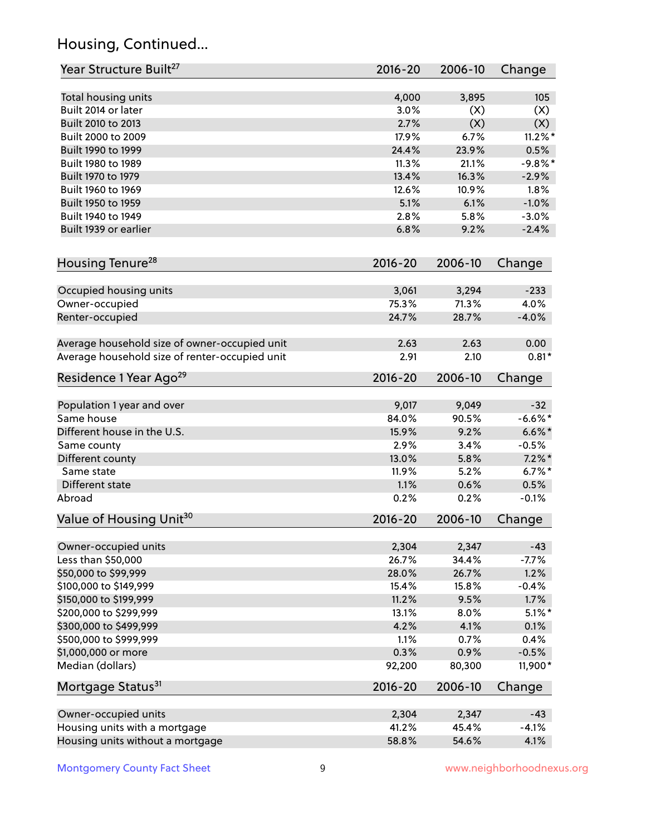# Housing, Continued...

| Year Structure Built <sup>27</sup>             | 2016-20     | 2006-10        | Change          |
|------------------------------------------------|-------------|----------------|-----------------|
| Total housing units                            | 4,000       | 3,895          | 105             |
| Built 2014 or later                            | 3.0%        | (X)            | (X)             |
| Built 2010 to 2013                             | 2.7%        | (X)            | (X)             |
| Built 2000 to 2009                             | 17.9%       | 6.7%           | $11.2\%$ *      |
| Built 1990 to 1999                             | 24.4%       | 23.9%          | 0.5%            |
| Built 1980 to 1989                             | 11.3%       | 21.1%          | $-9.8%$ *       |
| Built 1970 to 1979                             | 13.4%       |                |                 |
| Built 1960 to 1969                             | 12.6%       | 16.3%<br>10.9% | $-2.9%$<br>1.8% |
| Built 1950 to 1959                             | 5.1%        | 6.1%           | $-1.0%$         |
|                                                |             |                |                 |
| Built 1940 to 1949                             | 2.8%        | 5.8%           | $-3.0%$         |
| Built 1939 or earlier                          | 6.8%        | 9.2%           | $-2.4%$         |
| Housing Tenure <sup>28</sup>                   | $2016 - 20$ | 2006-10        | Change          |
|                                                |             |                |                 |
| Occupied housing units                         | 3,061       | 3,294          | $-233$          |
| Owner-occupied                                 | 75.3%       | 71.3%          | 4.0%            |
| Renter-occupied                                | 24.7%       | 28.7%          | $-4.0%$         |
| Average household size of owner-occupied unit  | 2.63        | 2.63           | 0.00            |
| Average household size of renter-occupied unit | 2.91        | 2.10           | $0.81*$         |
| Residence 1 Year Ago <sup>29</sup>             | $2016 - 20$ | 2006-10        | Change          |
|                                                |             |                |                 |
| Population 1 year and over                     | 9,017       | 9,049          | $-32$           |
| Same house                                     | 84.0%       | 90.5%          | $-6.6%$ *       |
| Different house in the U.S.                    | 15.9%       | 9.2%           | $6.6\%$ *       |
| Same county                                    | 2.9%        | 3.4%           | $-0.5%$         |
| Different county                               | 13.0%       | 5.8%           | $7.2\%$ *       |
| Same state                                     | 11.9%       | 5.2%           | $6.7%$ *        |
| Different state                                | 1.1%        | 0.6%           | 0.5%            |
| Abroad                                         | 0.2%        | 0.2%           | $-0.1%$         |
| Value of Housing Unit <sup>30</sup>            | 2016-20     | 2006-10        | Change          |
|                                                |             |                |                 |
| Owner-occupied units                           | 2,304       | 2,347          | $-43$           |
| Less than \$50,000                             | 26.7%       | 34.4%          | $-7.7%$         |
| \$50,000 to \$99,999                           | 28.0%       | 26.7%          | 1.2%            |
| \$100,000 to \$149,999                         | 15.4%       | 15.8%          | $-0.4%$         |
| \$150,000 to \$199,999                         | 11.2%       | 9.5%           | 1.7%            |
| \$200,000 to \$299,999                         | 13.1%       | 8.0%           | $5.1\%$ *       |
| \$300,000 to \$499,999                         | 4.2%        | 4.1%           | 0.1%            |
| \$500,000 to \$999,999                         | 1.1%        | 0.7%           | 0.4%            |
| \$1,000,000 or more                            | 0.3%        | 0.9%           | $-0.5%$         |
| Median (dollars)                               | 92,200      | 80,300         | 11,900*         |
| Mortgage Status <sup>31</sup>                  | $2016 - 20$ | 2006-10        | Change          |
| Owner-occupied units                           | 2,304       | 2,347          | $-43$           |
| Housing units with a mortgage                  | 41.2%       | 45.4%          | $-4.1%$         |
| Housing units without a mortgage               | 58.8%       | 54.6%          | 4.1%            |
|                                                |             |                |                 |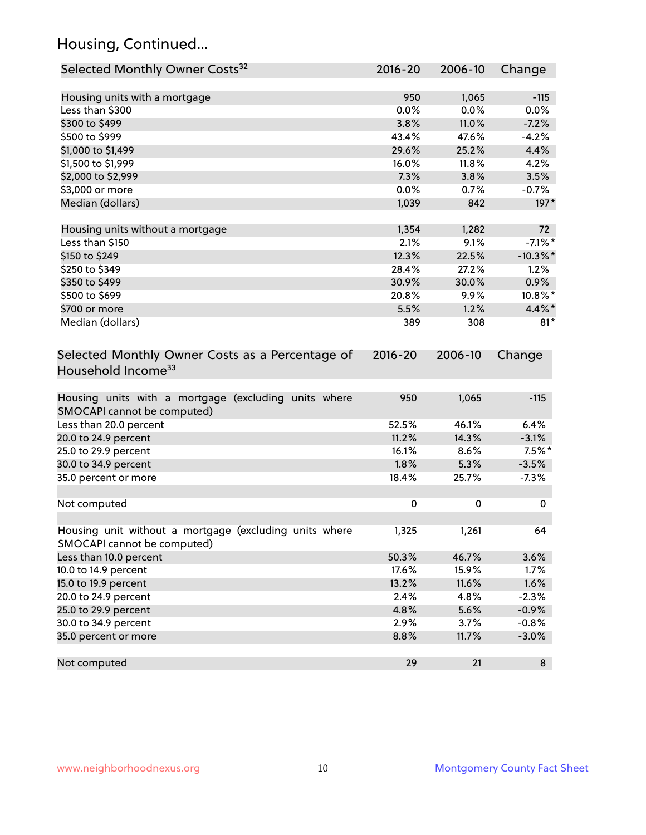# Housing, Continued...

| Selected Monthly Owner Costs <sup>32</sup>                                            | 2016-20     | 2006-10 | Change      |
|---------------------------------------------------------------------------------------|-------------|---------|-------------|
| Housing units with a mortgage                                                         | 950         | 1,065   | $-115$      |
| Less than \$300                                                                       | 0.0%        | 0.0%    | 0.0%        |
| \$300 to \$499                                                                        | 3.8%        | 11.0%   | $-7.2%$     |
| \$500 to \$999                                                                        | 43.4%       | 47.6%   | $-4.2%$     |
| \$1,000 to \$1,499                                                                    | 29.6%       | 25.2%   | 4.4%        |
| \$1,500 to \$1,999                                                                    | 16.0%       | 11.8%   | 4.2%        |
| \$2,000 to \$2,999                                                                    | 7.3%        | 3.8%    | 3.5%        |
| \$3,000 or more                                                                       | 0.0%        | 0.7%    | $-0.7%$     |
| Median (dollars)                                                                      | 1,039       | 842     | $197*$      |
|                                                                                       |             |         |             |
| Housing units without a mortgage                                                      | 1,354       | 1,282   | 72          |
| Less than \$150                                                                       | 2.1%        | 9.1%    | $-7.1\%$ *  |
| \$150 to \$249                                                                        | 12.3%       | 22.5%   | $-10.3\%$ * |
| \$250 to \$349                                                                        | 28.4%       | 27.2%   | 1.2%        |
| \$350 to \$499                                                                        | 30.9%       | 30.0%   | 0.9%        |
| \$500 to \$699                                                                        | 20.8%       | 9.9%    | 10.8%*      |
| \$700 or more                                                                         | 5.5%        | 1.2%    | 4.4%*       |
| Median (dollars)                                                                      | 389         | 308     | $81*$       |
| Selected Monthly Owner Costs as a Percentage of<br>Household Income <sup>33</sup>     | $2016 - 20$ | 2006-10 | Change      |
| Housing units with a mortgage (excluding units where<br>SMOCAPI cannot be computed)   | 950         | 1,065   | $-115$      |
| Less than 20.0 percent                                                                | 52.5%       | 46.1%   | 6.4%        |
| 20.0 to 24.9 percent                                                                  | 11.2%       | 14.3%   | $-3.1%$     |
| 25.0 to 29.9 percent                                                                  | 16.1%       | 8.6%    | $7.5\%$ *   |
| 30.0 to 34.9 percent                                                                  | 1.8%        | 5.3%    | $-3.5%$     |
| 35.0 percent or more                                                                  | 18.4%       | 25.7%   | $-7.3%$     |
| Not computed                                                                          | 0           | 0       | 0           |
| Housing unit without a mortgage (excluding units where<br>SMOCAPI cannot be computed) | 1,325       | 1,261   | 64          |
| Less than 10.0 percent                                                                | 50.3%       | 46.7%   | 3.6%        |
| 10.0 to 14.9 percent                                                                  | 17.6%       | 15.9%   | 1.7%        |
| 15.0 to 19.9 percent                                                                  | 13.2%       | 11.6%   | 1.6%        |
| 20.0 to 24.9 percent                                                                  | 2.4%        | 4.8%    | $-2.3%$     |
| 25.0 to 29.9 percent                                                                  | 4.8%        | 5.6%    | $-0.9%$     |
| 30.0 to 34.9 percent                                                                  | 2.9%        | 3.7%    | $-0.8%$     |
| 35.0 percent or more                                                                  | 8.8%        | 11.7%   | $-3.0%$     |
| Not computed                                                                          | 29          | 21      | 8           |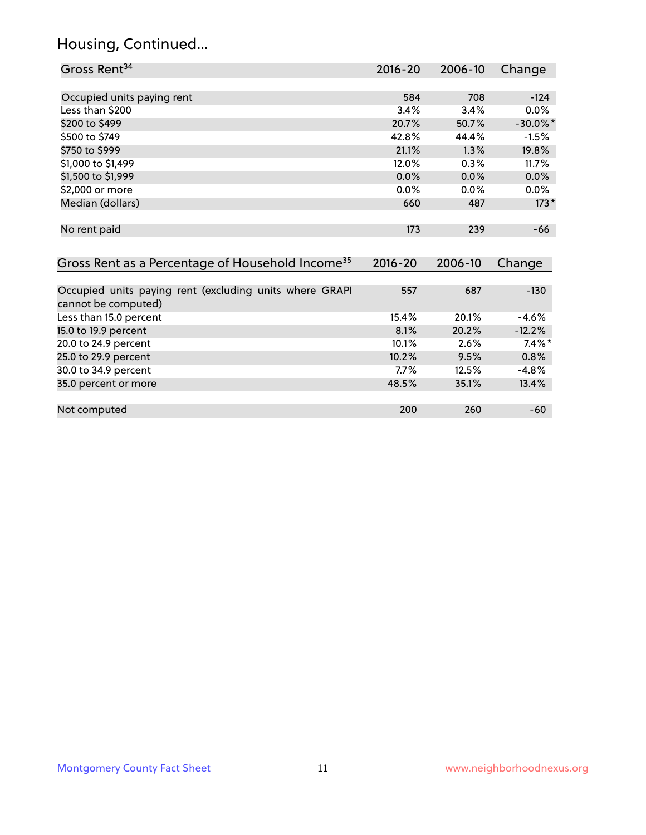# Housing, Continued...

| Gross Rent <sup>34</sup>                                                       | 2016-20     | 2006-10 | Change      |
|--------------------------------------------------------------------------------|-------------|---------|-------------|
|                                                                                |             |         |             |
| Occupied units paying rent                                                     | 584         | 708     | $-124$      |
| Less than \$200                                                                | 3.4%        | 3.4%    | 0.0%        |
| \$200 to \$499                                                                 | 20.7%       | 50.7%   | $-30.0\%$ * |
| \$500 to \$749                                                                 | 42.8%       | 44.4%   | $-1.5%$     |
| \$750 to \$999                                                                 | 21.1%       | 1.3%    | 19.8%       |
| \$1,000 to \$1,499                                                             | 12.0%       | 0.3%    | 11.7%       |
| \$1,500 to \$1,999                                                             | 0.0%        | 0.0%    | 0.0%        |
| \$2,000 or more                                                                | 0.0%        | 0.0%    | 0.0%        |
| Median (dollars)                                                               | 660         | 487     | $173*$      |
| No rent paid                                                                   | 173         | 239     | -66         |
| Gross Rent as a Percentage of Household Income <sup>35</sup>                   | $2016 - 20$ | 2006-10 | Change      |
| Occupied units paying rent (excluding units where GRAPI<br>cannot be computed) | 557         | 687     | $-130$      |
| Less than 15.0 percent                                                         | 15.4%       | 20.1%   | $-4.6%$     |
| 15.0 to 19.9 percent                                                           | 8.1%        | 20.2%   | $-12.2%$    |
| 20.0 to 24.9 percent                                                           | 10.1%       | 2.6%    | $7.4\%$ *   |
| 25.0 to 29.9 percent                                                           | 10.2%       | 9.5%    | 0.8%        |
| 30.0 to 34.9 percent                                                           | 7.7%        | 12.5%   | $-4.8%$     |
| 35.0 percent or more                                                           | 48.5%       | 35.1%   | 13.4%       |
| Not computed                                                                   | 200         | 260     | $-60$       |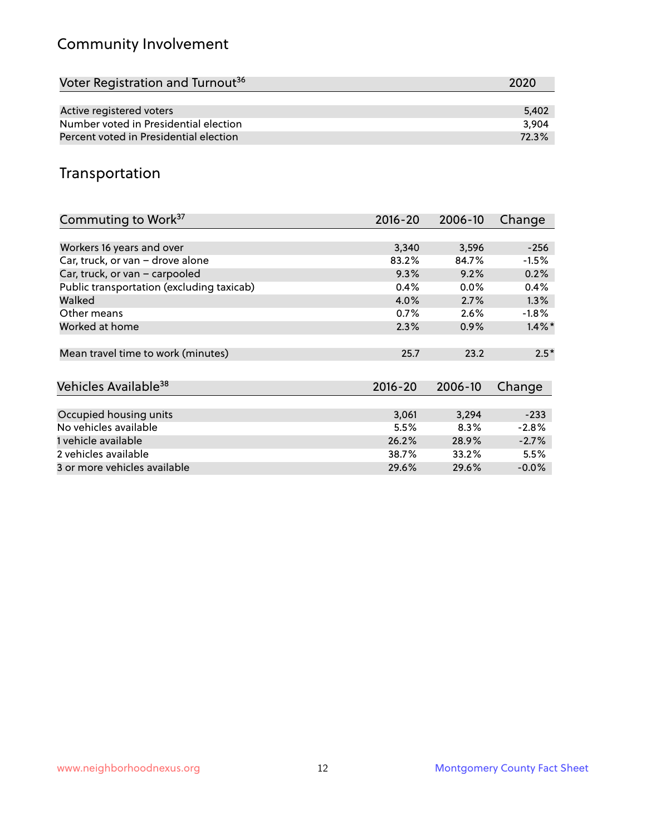# Community Involvement

| Voter Registration and Turnout <sup>36</sup> | 2020  |
|----------------------------------------------|-------|
|                                              |       |
| Active registered voters                     | 5.402 |
| Number voted in Presidential election        | 3.904 |
| Percent voted in Presidential election       | 72.3% |

## Transportation

| Commuting to Work <sup>37</sup>           | 2016-20     | 2006-10 | Change               |
|-------------------------------------------|-------------|---------|----------------------|
|                                           |             |         |                      |
| Workers 16 years and over                 | 3,340       | 3,596   | $-256$               |
| Car, truck, or van - drove alone          | 83.2%       | 84.7%   | $-1.5%$              |
| Car, truck, or van - carpooled            | 9.3%        | 9.2%    | 0.2%                 |
| Public transportation (excluding taxicab) | 0.4%        | $0.0\%$ | 0.4%                 |
| Walked                                    | 4.0%        | 2.7%    | $1.3\%$              |
| Other means                               | 0.7%        | 2.6%    | $-1.8\%$             |
| Worked at home                            | 2.3%        | 0.9%    | $1.4\%$ <sup>*</sup> |
| Mean travel time to work (minutes)        | 25.7        | 23.2    | $2.5*$               |
| Vehicles Available <sup>38</sup>          | $2016 - 20$ | 2006-10 | Change               |
| Occupied housing units                    | 3,061       | 3,294   | $-233$               |
| No vehicles available                     | 5.5%        | 8.3%    | $-2.8%$              |
| 1 vehicle available                       | 26.2%       | 28.9%   | $-2.7%$              |
| 2 vehicles available                      | 38.7%       | 33.2%   | 5.5%                 |
| 3 or more vehicles available              | 29.6%       | 29.6%   | $-0.0%$              |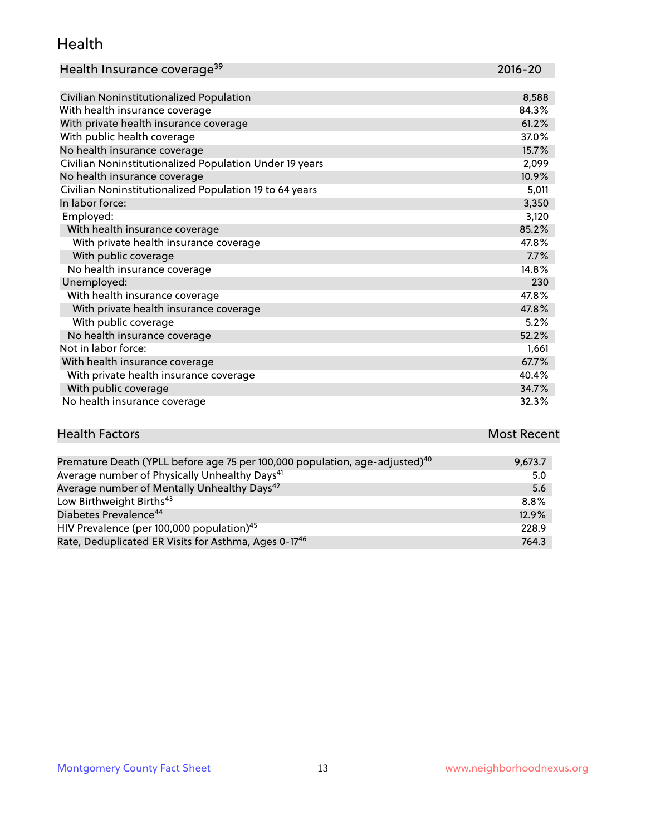#### Health

| Health Insurance coverage <sup>39</sup> | 2016-20 |
|-----------------------------------------|---------|
|-----------------------------------------|---------|

| Civilian Noninstitutionalized Population                | 8,588 |
|---------------------------------------------------------|-------|
| With health insurance coverage                          | 84.3% |
| With private health insurance coverage                  | 61.2% |
| With public health coverage                             | 37.0% |
| No health insurance coverage                            | 15.7% |
| Civilian Noninstitutionalized Population Under 19 years | 2,099 |
| No health insurance coverage                            | 10.9% |
| Civilian Noninstitutionalized Population 19 to 64 years | 5,011 |
| In labor force:                                         | 3,350 |
| Employed:                                               | 3,120 |
| With health insurance coverage                          | 85.2% |
| With private health insurance coverage                  | 47.8% |
| With public coverage                                    | 7.7%  |
| No health insurance coverage                            | 14.8% |
| Unemployed:                                             | 230   |
| With health insurance coverage                          | 47.8% |
| With private health insurance coverage                  | 47.8% |
| With public coverage                                    | 5.2%  |
| No health insurance coverage                            | 52.2% |
| Not in labor force:                                     | 1,661 |
| With health insurance coverage                          | 67.7% |
| With private health insurance coverage                  | 40.4% |
| With public coverage                                    | 34.7% |
| No health insurance coverage                            | 32.3% |

| <b>Health Factors</b> |  |  | <b>Most Recent</b> |
|-----------------------|--|--|--------------------|
|                       |  |  |                    |
|                       |  |  |                    |

| Premature Death (YPLL before age 75 per 100,000 population, age-adjusted) <sup>40</sup> | 9,673.7 |
|-----------------------------------------------------------------------------------------|---------|
| Average number of Physically Unhealthy Days <sup>41</sup>                               | 5.0     |
| Average number of Mentally Unhealthy Days <sup>42</sup>                                 | -5.6    |
| Low Birthweight Births <sup>43</sup>                                                    | 8.8%    |
| Diabetes Prevalence <sup>44</sup>                                                       | 12.9%   |
| HIV Prevalence (per 100,000 population) <sup>45</sup>                                   | 228.9   |
| Rate, Deduplicated ER Visits for Asthma, Ages 0-1746                                    | 764.3   |